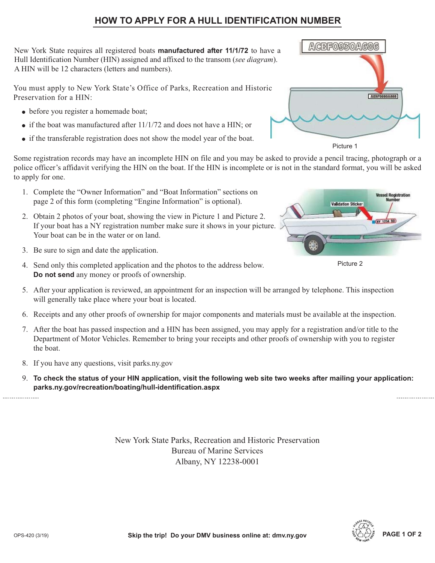## **HOW TO APPLY FOR A HULL IDENTIFICATION NUMBER**

New York State requires all registered boats **manufactured after 11/1/72** to have a Hull Identification Number (HIN) assigned and affixed to the transom (*see diagram*). A HIN will be 12 characters (letters and numbers).

You must apply to New York State's Office of Parks, Recreation and Historic Preservation for a HIN:

- before you register a homemade boat;
- $\bullet$  if the boat was manufactured after 11/1/72 and does not have a HIN; or
- if the transferable registration does not show the model year of the boat.

Some registration records may have an incomplete HIN on file and you may be asked to provide a pencil tracing, photograph or a police officer's affidavit verifying the HIN on the boat. If the HIN is incomplete or is not in the standard format, you will be asked to apply for one.

- 1. Complete the "Owner Information" and "Boat Information" sections on page 2 of this form (completing "Engine Information" is optional).
- 2. Obtain 2 photos of your boat, showing the view in Picture 1 and Picture 2. If your boat has a NY registration number make sure it shows in your picture. Your boat can be in the water or on land.
- 3. Be sure to sign and date the application.
- 4. Send only this completed application and the photos to the address below. **Do not send** any money or proofs of ownership.
- 5. After your application is reviewed, an appointment for an inspection will be arranged by telephone. This inspection will generally take place where your boat is located.
- 6. Receipts and any other proofs of ownership for major components and materials must be available at the inspection.
- 7. After the boat has passed inspection and a HIN has been assigned, you may apply for a registration and/or title to the Department of Motor Vehicles. Remember to bring your receipts and other proofs of ownership with you to register the boat.
- 8. If you have any questions, visit parks.ny.gov
- 9. **To check the status of your HIN application, visit the following web site two weeks after mailing your application: parks.ny.gov/recreation/boating/hull-identification.aspx**

New York State Parks, Recreation and Historic Preservation Bureau of Marine Services Albany, NY 12238-0001



Picture 1



Picture 2